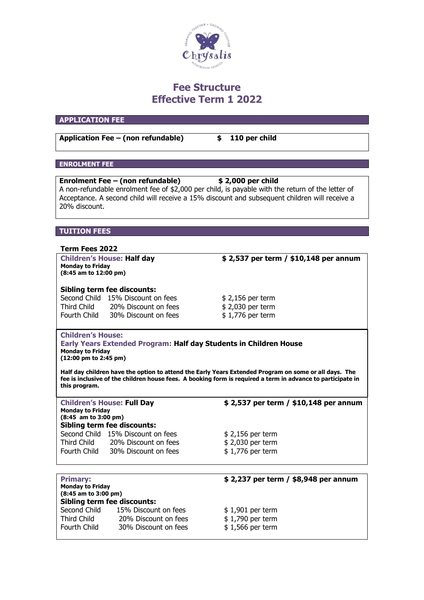

# **Fee Structure Effective Term 1 2022**

# **APPLICATION FEE**

**Application Fee – (non refundable) \$ 110 per child**

# **ENROLMENT FEE**

| Enrolment Fee – (non refundable)                                                                 | \$2,000 per child |
|--------------------------------------------------------------------------------------------------|-------------------|
| A non-refundable enrolment fee of \$2,000 per child, is payable with the return of the letter of |                   |
| Acceptance. A second child will receive a 15% discount and subsequent children will receive a    |                   |
| 20% discount.                                                                                    |                   |
|                                                                                                  |                   |
|                                                                                                  |                   |
| <b>TUITION FEES</b>                                                                              |                   |
|                                                                                                  |                   |

#### **Term Fees 2022**

**Children's House: Half day \$ 2,537 per term / \$10,148 per annum Monday to Friday (8:45 am to 12:00 pm)**

#### **Sibling term fee discounts:**

Second Child 15% Discount on fees  $$ 2,156$  per term<br>Third Child 20% Discount on fees  $$ 2,030$  per term Third Child 20% Discount on fees Fourth Child 30% Discount on fees \$ 1,776 per term

# **Children's House:**

**Early Years Extended Program: Half day Students in Children House Monday to Friday (12:00 pm to 2:45 pm)** 

**Half day children have the option to attend the Early Years Extended Program on some or all days. The fee is inclusive of the children house fees. A booking form is required a term in advance to participate in this program.**

| <b>Children's House: Full Day</b>                 |                                    | \$2,537 per term / \$10,148 per annum |  |
|---------------------------------------------------|------------------------------------|---------------------------------------|--|
| <b>Monday to Friday</b><br>$(8:45$ am to 3:00 pm) |                                    |                                       |  |
|                                                   | <b>Sibling term fee discounts:</b> |                                       |  |
|                                                   | Second Child 15% Discount on fees  | $$2,156$ per term                     |  |
| Third Child                                       | 20% Discount on fees               | \$2,030 per term                      |  |
| Fourth Child                                      | 30% Discount on fees               | $$1,776$ per term                     |  |

| <b>Primary:</b><br><b>Monday to Friday</b><br>$(8:45$ am to $3:00$ pm)<br><b>Sibling term fee discounts:</b> |                      | \$2,237 per term / \$8,948 per annum |
|--------------------------------------------------------------------------------------------------------------|----------------------|--------------------------------------|
| Second Child                                                                                                 | 15% Discount on fees | $$1,901$ per term                    |
| Third Child                                                                                                  | 20% Discount on fees | $$1,790$ per term                    |
| Fourth Child                                                                                                 | 30% Discount on fees | $$1,566$ per term                    |